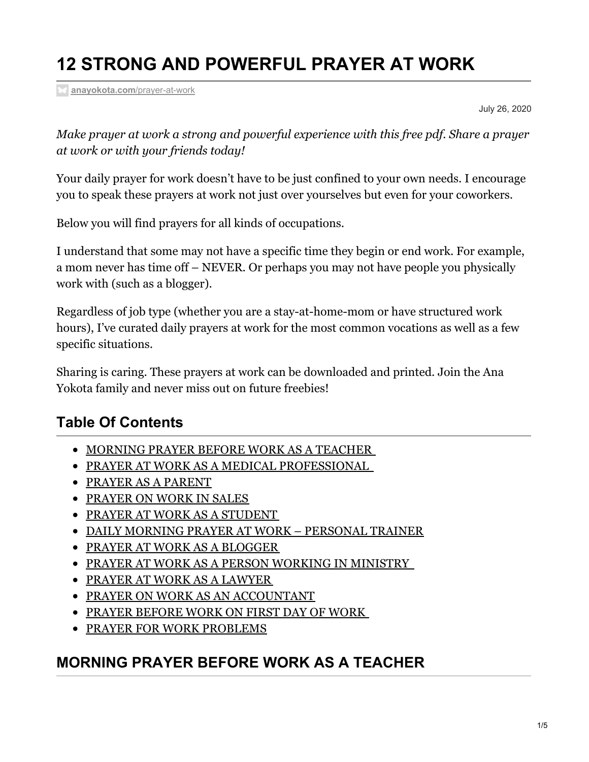# **12 STRONG AND POWERFUL PRAYER AT WORK**

**[anayokota.com](https://anayokota.com/prayer-at-work/?preview_id=1657&preview_nonce=7eeb7566cd&preview=true&_thumbnail_id=1661)**/prayer-at-work

July 26, 2020

*Make prayer at work a strong and powerful experience with this free pdf. Share a prayer at work or with your friends today!*

Your daily prayer for work doesn't have to be just confined to your own needs. I encourage you to speak these prayers at work not just over yourselves but even for your coworkers.

Below you will find prayers for all kinds of occupations.

I understand that some may not have a specific time they begin or end work. For example, a mom never has time off – NEVER. Or perhaps you may not have people you physically work with (such as a blogger).

Regardless of job type (whether you are a stay-at-home-mom or have structured work hours), I've curated daily prayers at work for the most common vocations as well as a few specific situations.

Sharing is caring. These prayers at work can be downloaded and printed. Join the Ana Yokota family and never miss out on future freebies!

#### **Table Of Contents**

- **[MORNING](#page-0-0) PRAYER BEFORE WORK AS A TEACHER**
- PRAYER AT WORK AS A MEDICAL [PROFESSIONAL](#page-1-0)
- PRAYER AS A [PARENT](#page-1-1)
- **[PRAYER](#page-1-2) ON WORK IN SALES**
- PRAYER AT WORK AS A [STUDENT](#page-1-3)
- DAILY MORNING PRAYER AT WORK [PERSONAL](#page-2-0) TRAINER
- PRAYER AT WORK AS A BLOGGER
- PRAYER AT WORK AS A PERSON [WORKING](#page-2-1) IN MINISTRY
- PRAYER AT WORK AS A [LAWYER](#page-2-2)
- PRAYER ON WORK AS AN [ACCOUNTANT](#page-3-0)
- PRAYER [BEFORE](#page-3-1) WORK ON FIRST DAY OF WORK
- **PRAYER FOR WORK [PROBLEMS](#page-3-2)**

#### <span id="page-0-0"></span>**MORNING PRAYER BEFORE WORK AS A TEACHER**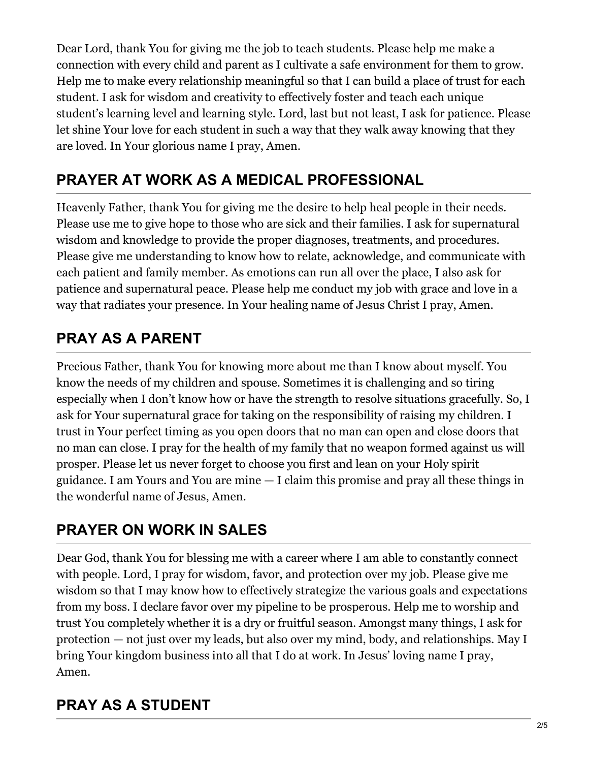Dear Lord, thank You for giving me the job to teach students. Please help me make a connection with every child and parent as I cultivate a safe environment for them to grow. Help me to make every relationship meaningful so that I can build a place of trust for each student. I ask for wisdom and creativity to effectively foster and teach each unique student's learning level and learning style. Lord, last but not least, I ask for patience. Please let shine Your love for each student in such a way that they walk away knowing that they are loved. In Your glorious name I pray, Amen.

# <span id="page-1-0"></span>**PRAYER AT WORK AS A MEDICAL PROFESSIONAL**

Heavenly Father, thank You for giving me the desire to help heal people in their needs. Please use me to give hope to those who are sick and their families. I ask for supernatural wisdom and knowledge to provide the proper diagnoses, treatments, and procedures. Please give me understanding to know how to relate, acknowledge, and communicate with each patient and family member. As emotions can run all over the place, I also ask for patience and supernatural peace. Please help me conduct my job with grace and love in a way that radiates your presence. In Your healing name of Jesus Christ I pray, Amen.

# <span id="page-1-1"></span>**PRAY AS A PARENT**

Precious Father, thank You for knowing more about me than I know about myself. You know the needs of my children and spouse. Sometimes it is challenging and so tiring especially when I don't know how or have the strength to resolve situations gracefully. So, I ask for Your supernatural grace for taking on the responsibility of raising my children. I trust in Your perfect timing as you open doors that no man can open and close doors that no man can close. I pray for the health of my family that no weapon formed against us will prosper. Please let us never forget to choose you first and lean on your Holy spirit guidance. I am Yours and You are mine — I claim this promise and pray all these things in the wonderful name of Jesus, Amen.

# <span id="page-1-2"></span>**PRAYER ON WORK IN SALES**

Dear God, thank You for blessing me with a career where I am able to constantly connect with people. Lord, I pray for wisdom, favor, and protection over my job. Please give me wisdom so that I may know how to effectively strategize the various goals and expectations from my boss. I declare favor over my pipeline to be prosperous. Help me to worship and trust You completely whether it is a dry or fruitful season. Amongst many things, I ask for protection — not just over my leads, but also over my mind, body, and relationships. May I bring Your kingdom business into all that I do at work. In Jesus' loving name I pray, Amen.

# <span id="page-1-3"></span>**PRAY AS A STUDENT**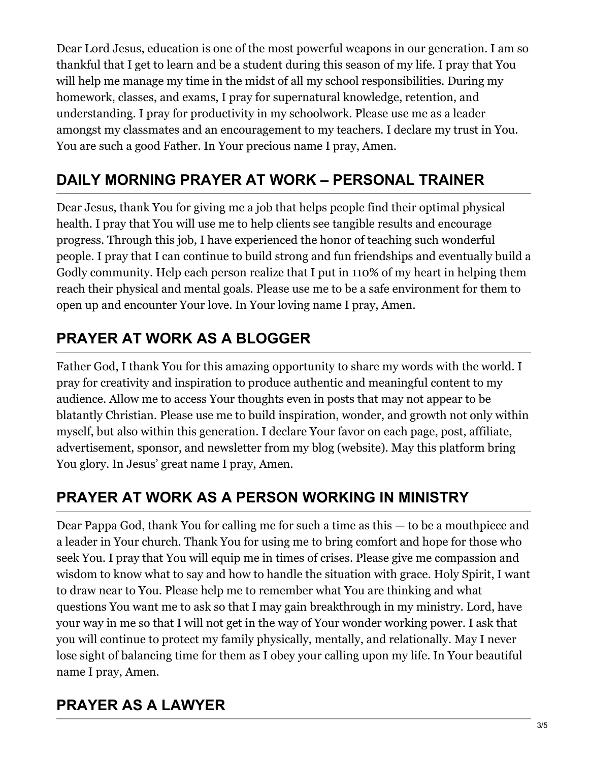Dear Lord Jesus, education is one of the most powerful weapons in our generation. I am so thankful that I get to learn and be a student during this season of my life. I pray that You will help me manage my time in the midst of all my school responsibilities. During my homework, classes, and exams, I pray for supernatural knowledge, retention, and understanding. I pray for productivity in my schoolwork. Please use me as a leader amongst my classmates and an encouragement to my teachers. I declare my trust in You. You are such a good Father. In Your precious name I pray, Amen.

# <span id="page-2-0"></span>**DAILY MORNING PRAYER AT WORK – PERSONAL TRAINER**

Dear Jesus, thank You for giving me a job that helps people find their optimal physical health. I pray that You will use me to help clients see tangible results and encourage progress. Through this job, I have experienced the honor of teaching such wonderful people. I pray that I can continue to build strong and fun friendships and eventually build a Godly community. Help each person realize that I put in 110% of my heart in helping them reach their physical and mental goals. Please use me to be a safe environment for them to open up and encounter Your love. In Your loving name I pray, Amen.

# **PRAYER AT WORK AS A BLOGGER**

Father God, I thank You for this amazing opportunity to share my words with the world. I pray for creativity and inspiration to produce authentic and meaningful content to my audience. Allow me to access Your thoughts even in posts that may not appear to be blatantly Christian. Please use me to build inspiration, wonder, and growth not only within myself, but also within this generation. I declare Your favor on each page, post, affiliate, advertisement, sponsor, and newsletter from my blog (website). May this platform bring You glory. In Jesus' great name I pray, Amen.

# <span id="page-2-1"></span>**PRAYER AT WORK AS A PERSON WORKING IN MINISTRY**

Dear Pappa God, thank You for calling me for such a time as this — to be a mouthpiece and a leader in Your church. Thank You for using me to bring comfort and hope for those who seek You. I pray that You will equip me in times of crises. Please give me compassion and wisdom to know what to say and how to handle the situation with grace. Holy Spirit, I want to draw near to You. Please help me to remember what You are thinking and what questions You want me to ask so that I may gain breakthrough in my ministry. Lord, have your way in me so that I will not get in the way of Your wonder working power. I ask that you will continue to protect my family physically, mentally, and relationally. May I never lose sight of balancing time for them as I obey your calling upon my life. In Your beautiful name I pray, Amen.

# <span id="page-2-2"></span>**PRAYER AS A LAWYER**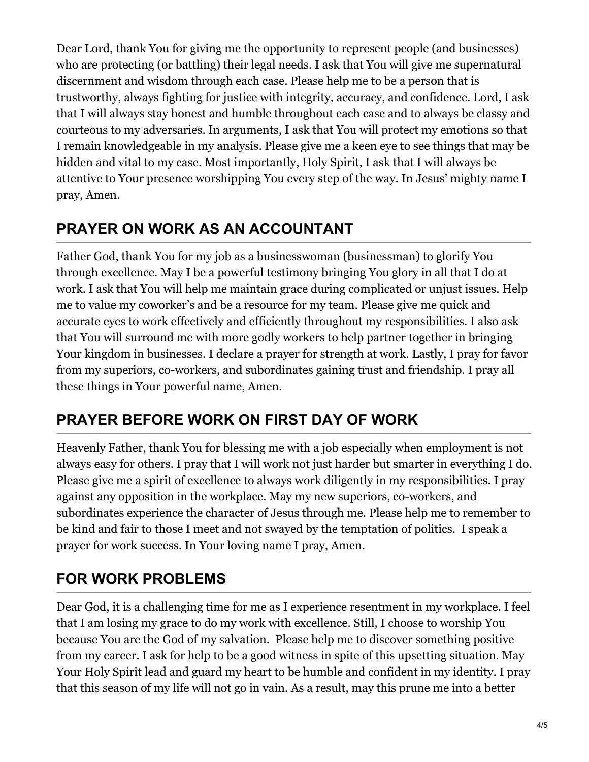Dear Lord, thank You for giving me the opportunity to represent people (and businesses) who are protecting (or battling) their legal needs. I ask that You will give me supernatural discernment and wisdom through each case. Please help me to be a person that is trustworthy, always fighting for justice with integrity, accuracy, and confidence. Lord, I ask that I will always stay honest and humble throughout each case and to always be classy and courteous to my adversaries. In arguments, I ask that You will protect my emotions so that I remain knowledgeable in my analysis. Please give me a keen eye to see things that may be hidden and vital to my case. Most importantly, Holy Spirit, I ask that I will always be attentive to Your presence worshipping You every step of the way. In Jesus' mighty name I pray, Amen.

### <span id="page-3-0"></span>**PRAYER ON WORK AS AN ACCOUNTANT**

Father God, thank You for my job as a businesswoman (businessman) to glorify You through excellence. May I be a powerful testimony bringing You glory in all that I do at work. I ask that You will help me maintain grace during complicated or unjust issues. Help me to value my coworker's and be a resource for my team. Please give me quick and accurate eyes to work effectively and efficiently throughout my responsibilities. I also ask that You will surround me with more godly workers to help partner together in bringing Your kingdom in businesses. I declare a prayer for strength at work. Lastly, I pray for favor from my superiors, co-workers, and subordinates gaining trust and friendship. I pray all these things in Your powerful name, Amen.

### <span id="page-3-1"></span>**PRAYER BEFORE WORK ON FIRST DAY OF WORK**

Heavenly Father, thank You for blessing me with a job especially when employment is not always easy for others. I pray that I will work not just harder but smarter in everything I do. Please give me a spirit of excellence to always work diligently in my responsibilities. I pray against any opposition in the workplace. May my new superiors, co-workers, and subordinates experience the character of Jesus through me. Please help me to remember to be kind and fair to those I meet and not swayed by the temptation of politics. I speak a prayer for work success. In Your loving name I pray, Amen.

### <span id="page-3-2"></span>**FOR WORK PROBLEMS**

Dear God, it is a challenging time for me as I experience resentment in my workplace. I feel that I am losing my grace to do my work with excellence. Still, I choose to worship You because You are the God of my salvation. Please help me to discover something positive from my career. I ask for help to be a good witness in spite of this upsetting situation. May Your Holy Spirit lead and guard my heart to be humble and confident in my identity. I pray that this season of my life will not go in vain. As a result, may this prune me into a better